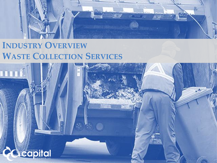

# **INDUSTRY OVERVIEW WASTE COLLECTION SERVICES**

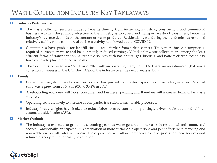## WASTE COLLECTION INDUSTRY KEY TAKEAWAYS

#### ❑ **Industry Performance**

- The waste collection services industry benefits directly from increasing industrial, construction, and commercial business activity. The primary objective of the industry is to collect and transport waste of consumers; hence the industry's revenue depends on the amount of waste produced. Residential waste during the pandemic has remained relatively stable, while commercial business activity has slowed due to COVID-19.
- Communities have pushed for landfill sites located further from urban centers. Thus, more fuel consumption is required to transport waste and has ultimately reduced earnings. Vehicles for waste collection are among the least efficient forms of transportation. Alternative sources such has natural gas, biofuels, and battery electric technology have come into play to reduce fuel costs.
- The total industry revenue is \$51.7B as of 2020 with an operating margin of 8.3%. There are an estimated 8,051 waste collection businesses in the U.S. The CAGR of the industry over the next 5 years is 1.4%.

#### ❑ **Trends**

- Government regulation and consumer opinion has pushed for greater capabilities in recycling services. Recycled solid waste grew from 28.5% in 2000 to 35.2% in 2017.
- A rebounding economy will boost consumer and business spending and therefore will increase demand for waste services.
- Operating costs are likely to increase as companies transition to sustainable processes.
- Industry heavy weights have looked to reduce labor costs by transitioning to single-driver trucks equipped with an automated side loader (ASL).

#### ❑ **Market Outlook**

The industry is expected to grow in the coming years as waste generation increases in residential and commercial sectors. Additionally, anticipated implementation of more sustainable operations and joint efforts with recycling and renewable energy affiliates will occur. These practices will allow companies to raise prices for their services and retain a higher profit after costly installation.

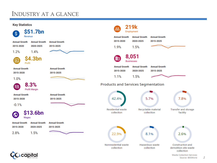## INDUSTRY AT A GLANCE



apital

*2*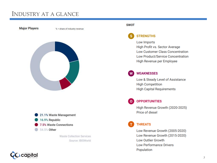## INDUSTRY AT A GLANCE



#### **SWOT**

## **STRENGTHS**

Low Imports High Profit vs. Sector Average **Low Customer Class Concentration Low Product/Service Concentration** High Revenue per Employee

## **WEAKNESSES**

Low & Steady Level of Assistance **High Competition High Capital Requirements** 

## **OPPORTUNITIES**

 $\Omega$ 

High Revenue Growth (2020-2025) Price of diesel

## **THREATS**

Low Revenue Growth (2005-2020) Low Revenue Growth (2015-2020) **Low Outlier Growth Low Performance Drivers** Population

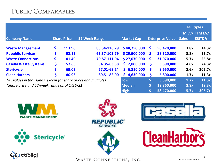|                                                                  |                    |                            |                      |                   |                         |            |              | <b>Multiples</b>                 |
|------------------------------------------------------------------|--------------------|----------------------------|----------------------|-------------------|-------------------------|------------|--------------|----------------------------------|
| <b>Company Name</b>                                              | <b>Share Price</b> |                            | <b>52 Week Range</b> | <b>Market Cap</b> | <b>Enterprise Value</b> |            | <b>Sales</b> | TTM EV/ TTM EV/<br><b>EBITDA</b> |
| <b>Waste Management</b>                                          | \$.                | 113.90                     | 85.34-126.79         | \$48,750,000      | $\mathsf{S}$            | 58,470,000 | 3.8x         | 14.3x                            |
| <b>Republic Services</b>                                         | \$                 | 93.11                      | 65.37-103.79         | \$29,900,000      | <b>S</b>                | 38,520,000 | 3.8x         | 13.7x                            |
| <b>Waste Connections</b>                                         | \$                 | 101.40                     | 70.87-111.04         | \$27,070,000      | S.                      | 31,070,000 | 5.7x         | 26.8x                            |
| <b>Casella Waste Systems</b>                                     | \$                 | 57.66                      | 34.35-63.58          | 2,800,000<br>Š.   | S.                      | 3,390,000  | 4.6x         | 24.3x                            |
| <b>Stericycle</b>                                                | \$                 | 69.03                      | 67.01-69.24          | \$6,310,000       | S                       | 8,650,000  | 2.6x         | 305.7x                           |
| <b>Clean Harbors</b>                                             | \$                 | 80.96                      | 80.51-82.00          | 4,630,000<br>Š.   | \$                      | 5,800,000  | 1.7x         | 11.3x                            |
| *All values in thousands, except for share prices and multiples. | Low                | \$                         | 3,390,000            | 1.7x              | 11.3x                   |            |              |                                  |
| *Share price and 52-week range as of 1/26/21                     | <b>Median</b>      | $\ket{\boldsymbol{\zeta}}$ | 19,860,000           | 3.8x              | 19.3x                   |            |              |                                  |
|                                                                  |                    |                            |                      | <b>High</b>       | \$                      | 58,470,000 | 5.7x         | 305.7x                           |















WASTE CONNECTIONS, INC.

*4*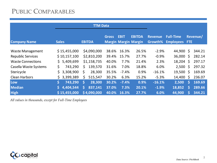|                          | <b>TTM Data</b>           |               |              |             |                                              |                |                                           |              |          |
|--------------------------|---------------------------|---------------|--------------|-------------|----------------------------------------------|----------------|-------------------------------------------|--------------|----------|
| <b>Company Name</b>      | <b>Sales</b>              | <b>EBITDA</b> | <b>Gross</b> | <b>EBIT</b> | <b>EBITDA</b><br><b>Margin Margin Margin</b> | <b>Revenue</b> | <b>Full-Time</b><br>Growth% Employees FTE |              | Revenue/ |
|                          |                           |               |              |             |                                              |                |                                           |              |          |
| <b>Waste Management</b>  | \$15,455,000              | \$4,090,000   | 38.6%        | 16.3%       | 26.5%                                        | $-2.9%$        | 44,900                                    | $\mathsf{S}$ | 344.21   |
| <b>Republic Services</b> | \$10,157,100              | \$2,810,200   | 39.4%        | 15.7%       | 27.7%                                        | $-0.9%$        | 36,000                                    | $\mathsf{S}$ | 282.14   |
| <b>Waste Connections</b> | 5,409,699<br>$\mathsf{S}$ | \$1,158,735   | 40.0%        | 7.7%        | 21.4%                                        | 2.3%           | 18,204                                    | $\zeta$      | 297.17   |
| Casella Waste Systems    | \$<br>743,290             | \$<br>139,570 | 31.6%        | 7.0%        | 18.8%                                        | 6.0%           | 2,500                                     | $\zeta$      | 297.32   |
| Stericycle               | \$.<br>3,308,900          | \$<br>28,300  | 35.5%        | $-7.4%$     | 0.9%                                         | $-16.1%$       | 19,500                                    | Ŝ.           | 169.69   |
| <b>Clean Harbors</b>     | 3,399,389<br>\$.          | \$<br>515,547 | 30.2%        | 6.3%        | 15.2%                                        | $-5.3%$        | 14,400                                    | \$           | 236.07   |
| Low                      | \$<br>743,290             | Ś<br>28,300   | 30.2%        | $-7.4%$     | 0.9%                                         | $-16.1%$       | 2,500                                     | \$           | 169.69   |
| Median                   | 4,404,544                 | \$<br>837,141 | 37.0%        | 7.3%        | 20.1%                                        | $-1.9%$        | 18,852                                    | \$           | 289.66   |
| <b>High</b>              | \$15,455,000              | \$4,090,000   | 40.0%        | 16.3%       | 27.7%                                        | 6.0%           | 44,900                                    | S            | 344.21   |

*All values in thousands, except for Full-Time Employees*

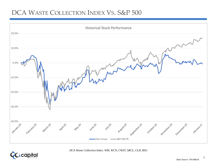## DCA WASTE COLLECTION INDEX VS. S&P 500





*DCA Waste Collection Index: WM, WCN, CWST, SRCL, CLH, RSG*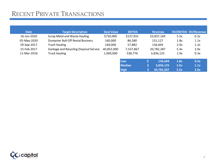## RECENT PRIVATE TRANSACTIONS

| <b>Date</b> | <b>Target Description</b>              | <b>Deal Value</b> | <b>EBITDA</b>    | <b>Revenue</b> |      | DV/EBITDA DV/Revenue |
|-------------|----------------------------------------|-------------------|------------------|----------------|------|----------------------|
| 16-Jun-2020 | <b>Scrap Metal and Waste Hauling</b>   | \$750,000         | \$137,031        | \$3,837,169    | 5.5x | 0.2x                 |
| 05-May-2020 | Dumpster Roll-Off Rental Business      | 160,000           | 86,580           | 151,127        | 1.8x | 1.1x                 |
| 29-Sep-2017 | <b>Trash Hauling</b>                   | 169,000           | 57,882           | 136,604        | 2.9x | 1.2x                 |
| 15-Feb-2017 | Garbage and Recycling Disposal Service | 40,852,000        | 7,537,867        | 20,782,287     | 5.4x | 2.0x                 |
| 11-Mar-2016 | <b>Truck Hauling</b>                   | 1,000,000         | 538,776          | 3,836,125      | 1.9x | 0.3x                 |
|             |                                        |                   |                  |                |      |                      |
|             |                                        |                   | Low <sub>1</sub> | 136,604        | 1.8x | 0.2x                 |

**Median \$ 3,836,125 2.9x 1.1x High \$ 20,782,287 5.5x 2.0x**

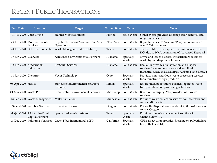## RECENT PUBLIC TRANSACTIONS

| <b>Deal Date</b>      | <b>Investors</b>                                | Target                                             | <b>Target State</b> | <b>Type</b>        | <b>Notes</b>                                                                                                                                         |
|-----------------------|-------------------------------------------------|----------------------------------------------------|---------------------|--------------------|------------------------------------------------------------------------------------------------------------------------------------------------------|
|                       | 01-Jul-2020 Valet Living                        | <b>Skinner Waste Solutions</b>                     | Florida             | Solid Waste        | Sinner Waste provides doorstep trash removal and<br>recycling services                                                                               |
|                       | 29-Jun-2020 Modern Disposal<br>Services         | Republic Services (Western New York<br>Operations) | New York            | Solid Waste        | Republic Services' Western NY operations service<br>over 2,000 customers                                                                             |
|                       | 24-Jun-2020 GFL Environmental                   | Waste Management (Divestitures)                    | Texas               | Solid Waste        | The divestitures are expected requirements by the<br>DOJ due to WM's acquisition of Advanced Disposal                                                |
| 17-Jun-2020 Clairvest |                                                 | Arrowhead Environmental Partners                   | Alabama             | Specialty<br>Waste | Owns and leases disposal infrastructure assets for<br>waste-by-rail disposal solutions                                                               |
|                       | 12-Jun-2020 Kinderhook<br>Industries            | <b>EcoSouth Services</b>                           | Alabama             | Solid Waste        | EcoSouth provides transpiration and disposal<br>services for non-hazardous solid and liquid<br>industrial waste in Mississippi, Alabama, and Florida |
| 10-Jun-2020 Chemtron  |                                                 | Vexor Technology                                   | Ohio                | Specialty<br>Waste | Provides non-hazardous waste processing services<br>for alternative energy products                                                                  |
| 06-Apr-2020 Harsco    |                                                 | Stericycle (Environmental Solutions<br>Business)   | Illinois            | Specialty<br>Waste | Environmental Solutions business operates waste<br>transportation and processing solutions                                                           |
| 04-Mar-2020 Waste Pro |                                                 | Resourceful Environmental Services                 | Mississippi         | Solid Waste        | Based out of Ripley, MS, provides solid waste<br>services                                                                                            |
|                       | 13-Feb-2020 Waste Management Miller Sanitation  |                                                    | Minnesota           | Solid Waste        | Provides waste collection services southwestern and<br>central Minnesota                                                                             |
|                       | 03-Feb-2020 Republic Services                   | Prineville Disposal                                | Oregon              | Solid Waste        | Prineville Disposal services about 7,000 customers in<br>central Oregon                                                                              |
|                       | 08-Jan-2020 TAS & BluePoint<br>Capital Partners | Specialized Waste Systems                          | Texas               | Specialty<br>Waste | Provider of waste management solutions in<br>Channelview, TX                                                                                         |
|                       | 04-Dec-2019 Indorama Ventures                   | Green Fiber International (GFI)                    | California          | Specialty<br>Waste | GFI is a recycling provider, focusing on polyethylene<br>terephthalate (PET)                                                                         |

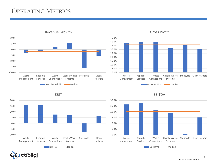## OPERATING METRICS



EBIT

Revenue Growth



Gross Profit



**apital:** 

Republic

Waste Connections

EBIT % Median

Casella Waste Stericycle Clean

Harbors

Systems

Management Services

Waste

-10.0%

-5.0%

0.0%

5.0%

10.0%

15.0%

20.0%

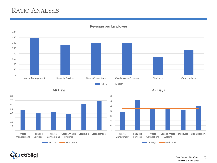## RATIO ANALYSIS



0

Waste Management Republic Services

Waste Connections

AP Days **Wedian AP** 

Casella Waste Systems

*1* Revenue per Employee



Waste Management Republic Services

Waste Connections Casella Waste Systems

AR Days Median AR

Stericycle Clean Harbors

0



Stericycle Clean Harbors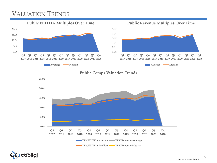## VALUATION TRENDS







apital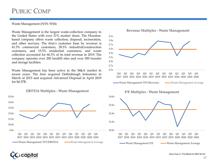#### Waste Management (NYS: WM)

Waste Management is the largest waste-collection company in the United States with over 21% market share. The Houstonbased company offers waste collection, disposal, incineration, and other services. The firm's customer base by revenue is 41.3% commercial customers, 28.5% industrial/construction customers, and 15.5% residential customers, and waste collection accounted for 66.3% of its total revenue in 2019. The company operates over 200 landfill sites and over 300 transfer and storage facilities.

Waste Management has been active in the M&A market in recent years. The firm acquired Deffenbaugh Industries in March of 2015 and acquired Advanced Disposal in April 2019 for \$4.57B.



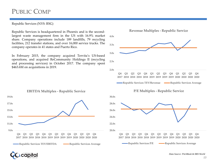#### Republic Services (NYS: RSG)

Republic Services is headquartered in Phoenix and is the secondlargest waste management firm in the US with 16.9% market share. Company operations include 189 landfills, 79 recycling facilities, 212 transfer stations, and over 16,000 service trucks. The company operates in 41 states and Puerto Rico.

In February 2015, the company acquired Tervita's US-based operations, and acquired ReCommunity Holdings II (recycling and processing services) in October 2017. The company spent \$463.6M on acquisitions in 2019.





**Republic Services P/E Republic Services Average** 



**EBITDA Multiples - Republic Service**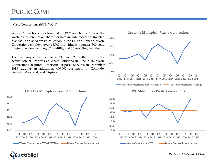#### Waste Connections (NYS: WCN)

Waste Connections was founded in 1997 and holds 7.5% of the waste collection market share. Services include recycling, transfer, disposal, and solid waste collection in the US and Canada. Waste Connections employs over 18,000 individuals, operates 300 solid waste collection facilities, 87 landfills, and 66 recycling facilities.

The company's revenue has 20.6% from 2015-2020 due to the acquisition of Progressive Waste Solutions in June 2016. Waste Connections acquired American Disposal Services in December 2018, adding an additional 400,000 customers in Colorado, Georgia, Maryland, and Virginia.







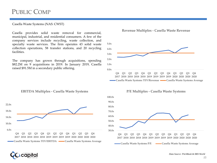#### Casella Waste Systems (NAS: CWST)

Casella provides solid waste removal for commercial, municipal, industrial, and residential consumers. A few of the company services include recycling, waste collection, and specialty waste services. The firm operates 43 solid waste collection operations, 58 transfer stations, and 20 recycling facilities.

The company has grown through acquisitions, spending \$82.2M on 9 acquisitions in 2019. In January 2019, Casella raised \$91.5M in a secondary public offering.

**EBITDA Multiples - Casella Waste Systems** 





**P/E Multiples - Casella Waste Systems**



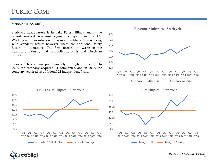#### Stericycle (NAS: SRCL)

Stericycle headquarters is in Lake Forest, Illinois and is the largest medical waste-management company in the US. Working with hazardous waste is more profitable than working with standard waste; however, there are additional safety factors in operations. The firm focuses on waste in the healthcare industry and primarily hospitals and physician offices.

Stericycle has grown predominately through acquisition. In 2016, the company acquired 31 companies, and in 2018, the company acquired an additional 21 independent firms.

**EBITDA Multiples - Stericycle**



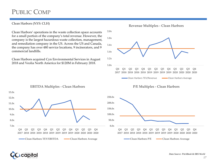#### Clean Harbors (NYS: CLH)

Clean Harbors' operations in the waste collection space accounts for a small portion of the company's total revenue. However, the company is the largest hazardous waste collection, management, and remediation company in the US. Across the US and Canada, the company has over 480 service locations, 9 incinerators, and 9 commercial landfills.

Clean Harbors acquired Cyn Environmental Services in August 2018 and Veolia North America for \$120M in February 2018.







#### **EBITDA Multiples - Clean Harbors**





**13.0x**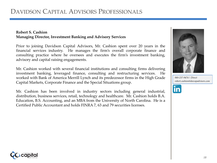#### **Robert S. Cashion Managing Director, Investment Banking and Advisory Services**

Prior to joining Davidson Capital Advisors, Mr. Cashion spent over 20 years in the financial services industry. He manages the firm's overall corporate finance and consulting practice where he oversees and executes the firm's investment banking, advisory and capital raising engagements.

Mr. Cashion worked with several financial institutions and consulting firms delivering investment banking, leveraged finance, consulting and restructuring services. He worked with Bank of America Merrill Lynch and its predecessor firms in the High Grade Capital Markets, Corporate Finance and the Special Situations group.

Mr. Cashion has been involved in industry sectors including general industrial, distribution, business services, retail, technology and healthcare. Mr. Cashion holds B.A. Education, B.S. Accounting, and an MBA from the University of North Carolina. He is a Certified Public Accountant and holds FINRA 7, 63 and 79 securities licenses.



*980-237-9474 | Direct robert.cashion@davcapadvisors.com*



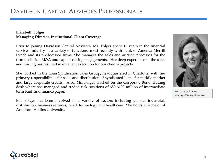### **Elizabeth Folger Managing Director, Institutional Client Coverage**

Prior to joining Davidson Capital Advisors, Ms. Folger spent 16 years in the financial services industry in a variety of functions, most recently with Bank of America Merrill Lynch and its predecessor firms. She manages the sales and auction processes for the firm's sell side M&A and capital raising engagements. Her deep experience in the sales and trading has resulted in excellent execution for our client's projects.

She worked in the Loan Syndication Sales Group, headquartered in Charlotte, with her primary responsibilities for sales and distribution of syndicated loans for middle market and large corporate credits. Also, Ms. Folger worked on the Corporate Bond Trading desk where she managed and traded risk positions of \$50-\$100 million of intermediate term bank and finance paper.

Ms. Folger has been involved in a variety of sectors including general industrial, distribution, business services, retail, technology and healthcare. She holds a Bachelor of Arts from Hollins University.



*980-237-9474 | Direct beth.folger@davcapadvisors.com*